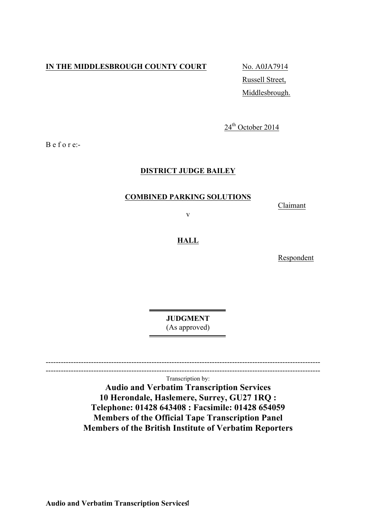# **IN THE MIDDLESBROUGH COUNTY COURT** No. A0JA7914

Russell Street, Middlesbrough.

 $24<sup>th</sup>$  October 2014

B e f o r e:-

# **DISTRICT JUDGE BAILEY**

### **COMBINED PARKING SOLUTIONS**

Claimant

v

### **HALL**

Respondent

**JUDGMENT** (As approved)

-------------------------------------------------------------------------------------------------------------  $-$ 

Transcription by:

**Audio and Verbatim Transcription Services 10 Herondale, Haslemere, Surrey, GU27 1RQ : Telephone: 01428 643408 : Facsimile: 01428 654059 Members of the Official Tape Transcription Panel Members of the British Institute of Verbatim Reporters**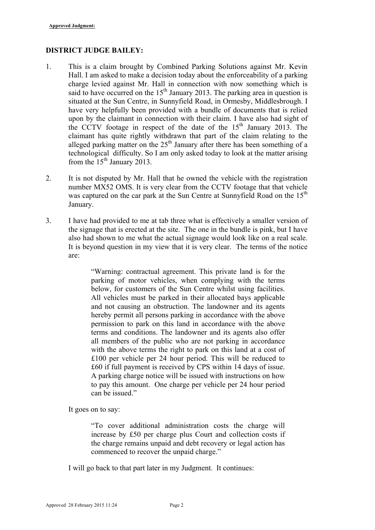### **DISTRICT JUDGE BAILEY:**

- 1. This is a claim brought by Combined Parking Solutions against Mr. Kevin Hall. I am asked to make a decision today about the enforceability of a parking charge levied against Mr. Hall in connection with now something which is said to have occurred on the  $15<sup>th</sup>$  January 2013. The parking area in question is situated at the Sun Centre, in Sunnyfield Road, in Ormesby, Middlesbrough. I have very helpfully been provided with a bundle of documents that is relied upon by the claimant in connection with their claim. I have also had sight of the CCTV footage in respect of the date of the  $15<sup>th</sup>$  January 2013. The claimant has quite rightly withdrawn that part of the claim relating to the alleged parking matter on the  $25<sup>th</sup>$  January after there has been something of a technological difficulty. So I am only asked today to look at the matter arising from the  $15<sup>th</sup>$  January 2013.
- 2. It is not disputed by Mr. Hall that he owned the vehicle with the registration number MX52 OMS. It is very clear from the CCTV footage that that vehicle was captured on the car park at the Sun Centre at Sunnyfield Road on the 15<sup>th</sup> January.
- 3. I have had provided to me at tab three what is effectively a smaller version of the signage that is erected at the site. The one in the bundle is pink, but I have also had shown to me what the actual signage would look like on a real scale. It is beyond question in my view that it is very clear. The terms of the notice are:

"Warning: contractual agreement. This private land is for the parking of motor vehicles, when complying with the terms below, for customers of the Sun Centre whilst using facilities. All vehicles must be parked in their allocated bays applicable and not causing an obstruction. The landowner and its agents hereby permit all persons parking in accordance with the above permission to park on this land in accordance with the above terms and conditions. The landowner and its agents also offer all members of the public who are not parking in accordance with the above terms the right to park on this land at a cost of £100 per vehicle per 24 hour period. This will be reduced to £60 if full payment is received by CPS within 14 days of issue. A parking charge notice will be issued with instructions on how to pay this amount. One charge per vehicle per 24 hour period can be issued."

It goes on to say:

"To cover additional administration costs the charge will increase by £50 per charge plus Court and collection costs if the charge remains unpaid and debt recovery or legal action has commenced to recover the unpaid charge."

I will go back to that part later in my Judgment. It continues: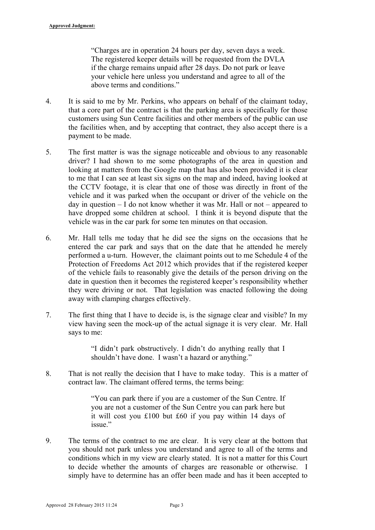"Charges are in operation 24 hours per day, seven days a week. The registered keeper details will be requested from the DVLA if the charge remains unpaid after 28 days. Do not park or leave your vehicle here unless you understand and agree to all of the above terms and conditions."

- 4. It is said to me by Mr. Perkins, who appears on behalf of the claimant today, that a core part of the contract is that the parking area is specifically for those customers using Sun Centre facilities and other members of the public can use the facilities when, and by accepting that contract, they also accept there is a payment to be made.
- 5. The first matter is was the signage noticeable and obvious to any reasonable driver? I had shown to me some photographs of the area in question and looking at matters from the Google map that has also been provided it is clear to me that I can see at least six signs on the map and indeed, having looked at the CCTV footage, it is clear that one of those was directly in front of the vehicle and it was parked when the occupant or driver of the vehicle on the day in question  $-1$  do not know whether it was Mr. Hall or not – appeared to have dropped some children at school. I think it is beyond dispute that the vehicle was in the car park for some ten minutes on that occasion.
- 6. Mr. Hall tells me today that he did see the signs on the occasions that he entered the car park and says that on the date that he attended he merely performed a u-turn. However, the claimant points out to me Schedule 4 of the Protection of Freedoms Act 2012 which provides that if the registered keeper of the vehicle fails to reasonably give the details of the person driving on the date in question then it becomes the registered keeper's responsibility whether they were driving or not. That legislation was enacted following the doing away with clamping charges effectively.
- 7. The first thing that I have to decide is, is the signage clear and visible? In my view having seen the mock-up of the actual signage it is very clear. Mr. Hall says to me:

"I didn't park obstructively. I didn't do anything really that I shouldn't have done. I wasn't a hazard or anything."

8. That is not really the decision that I have to make today. This is a matter of contract law. The claimant offered terms, the terms being:

> "You can park there if you are a customer of the Sun Centre. If you are not a customer of the Sun Centre you can park here but it will cost you £100 but £60 if you pay within 14 days of issue"

9. The terms of the contract to me are clear. It is very clear at the bottom that you should not park unless you understand and agree to all of the terms and conditions which in my view are clearly stated. It is not a matter for this Court to decide whether the amounts of charges are reasonable or otherwise. I simply have to determine has an offer been made and has it been accepted to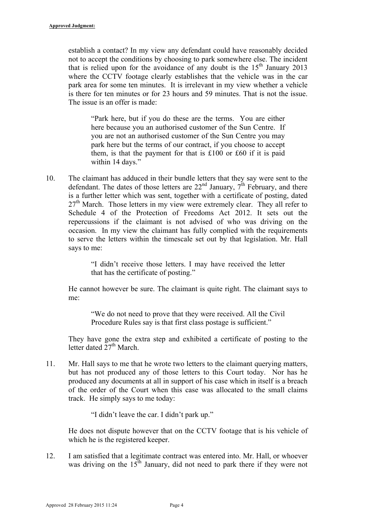establish a contact? In my view any defendant could have reasonably decided not to accept the conditions by choosing to park somewhere else. The incident that is relied upon for the avoidance of any doubt is the  $15<sup>th</sup>$  January 2013 where the CCTV footage clearly establishes that the vehicle was in the car park area for some ten minutes. It is irrelevant in my view whether a vehicle is there for ten minutes or for 23 hours and 59 minutes. That is not the issue. The issue is an offer is made:

"Park here, but if you do these are the terms. You are either here because you an authorised customer of the Sun Centre. If you are not an authorised customer of the Sun Centre you may park here but the terms of our contract, if you choose to accept them, is that the payment for that is £100 or £60 if it is paid within 14 days."

10. The claimant has adduced in their bundle letters that they say were sent to the defendant. The dates of those letters are  $22<sup>nd</sup>$  January,  $7<sup>th</sup>$  February, and there is a further letter which was sent, together with a certificate of posting, dated  $27<sup>th</sup>$  March. Those letters in my view were extremely clear. They all refer to Schedule 4 of the Protection of Freedoms Act 2012. It sets out the repercussions if the claimant is not advised of who was driving on the occasion. In my view the claimant has fully complied with the requirements to serve the letters within the timescale set out by that legislation. Mr. Hall says to me:

> "I didn't receive those letters. I may have received the letter that has the certificate of posting."

He cannot however be sure. The claimant is quite right. The claimant says to me:

"We do not need to prove that they were received. All the Civil Procedure Rules say is that first class postage is sufficient."

They have gone the extra step and exhibited a certificate of posting to the letter dated  $27<sup>th</sup>$  March.

11. Mr. Hall says to me that he wrote two letters to the claimant querying matters, but has not produced any of those letters to this Court today. Nor has he produced any documents at all in support of his case which in itself is a breach of the order of the Court when this case was allocated to the small claims track. He simply says to me today:

"I didn't leave the car. I didn't park up."

He does not dispute however that on the CCTV footage that is his vehicle of which he is the registered keeper.

12. I am satisfied that a legitimate contract was entered into. Mr. Hall, or whoever was driving on the  $15<sup>th</sup>$  January, did not need to park there if they were not